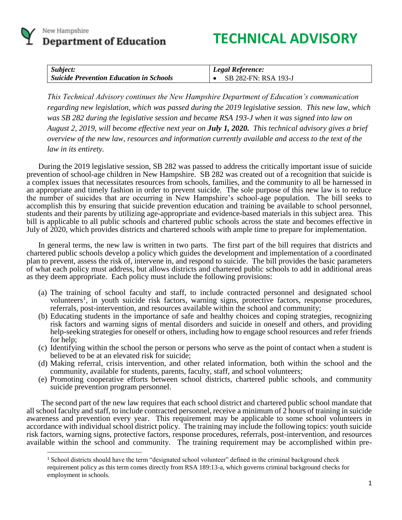

 $\overline{a}$ 

# **TECHNICAL ADVISORY**

| Subject:                                       | Legal Reference:     |
|------------------------------------------------|----------------------|
| <b>Suicide Prevention Education in Schools</b> | SB 282-FN: RSA 193-J |

*This Technical Advisory continues the New Hampshire Department of Education's communication regarding new legislation, which was passed during the 2019 legislative session. This new law, which was SB 282 during the legislative session and became RSA 193-J when it was signed into law on August 2, 2019, will become effective next year on July 1, 2020. This technical advisory gives a brief overview of the new law, resources and information currently available and access to the text of the law in its entirety.*

During the 2019 legislative session, SB 282 was passed to address the critically important issue of suicide prevention of school-age children in New Hampshire. SB 282 was created out of a recognition that suicide is a complex issues that necessitates resources from schools, families, and the community to all be harnessed in an appropriate and timely fashion in order to prevent suicide. The sole purpose of this new law is to reduce the number of suicides that are occurring in New Hampshire's school-age population. The bill seeks to accomplish this by ensuring that suicide prevention education and training be available to school personnel, students and their parents by utilizing age-appropriate and evidence-based materials in this subject area. This bill is applicable to all public schools and chartered public schools across the state and becomes effective in July of 2020, which provides districts and chartered schools with ample time to prepare for implementation.

In general terms, the new law is written in two parts. The first part of the bill requires that districts and chartered public schools develop a policy which guides the development and implementation of a coordinated plan to prevent, assess the risk of, intervene in, and respond to suicide. The bill provides the basic parameters of what each policy must address, but allows districts and chartered public schools to add in additional areas as they deem appropriate. Each policy must include the following provisions:

- (a) The training of school faculty and staff, to include contracted personnel and designated school volunteers<sup>1</sup>, in youth suicide risk factors, warning signs, protective factors, response procedures, referrals, post-intervention, and resources available within the school and community;
- (b) Educating students in the importance of safe and healthy choices and coping strategies, recognizing risk factors and warning signs of mental disorders and suicide in oneself and others, and providing help-seeking strategies for oneself or others, including how to engage school resources and refer friends for help;
- (c) Identifying within the school the person or persons who serve as the point of contact when a student is believed to be at an elevated risk for suicide;
- (d) Making referral, crisis intervention, and other related information, both within the school and the community, available for students, parents, faculty, staff, and school volunteers;
- (e) Promoting cooperative efforts between school districts, chartered public schools, and community suicide prevention program personnel.

The second part of the new law requires that each school district and chartered public school mandate that all school faculty and staff, to include contracted personnel, receive a minimum of 2 hours of training in suicide awareness and prevention every year. This requirement may be applicable to some school volunteers in accordance with individual school district policy. The training may include the following topics: youth suicide risk factors, warning signs, protective factors, response procedures, referrals, post-intervention, and resources available within the school and community. The training requirement may be accomplished within pre-

<sup>1</sup> School districts should have the term "designated school volunteer" defined in the criminal background check requirement policy as this term comes directly from RSA 189:13-a, which governs criminal background checks for employment in schools.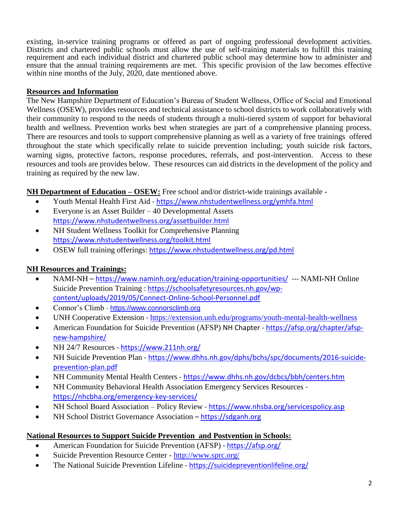existing, in-service training programs or offered as part of ongoing professional development activities. Districts and chartered public schools must allow the use of self-training materials to fulfill this training requirement and each individual district and chartered public school may determine how to administer and ensure that the annual training requirements are met. This specific provision of the law becomes effective within nine months of the July,  $20\overline{2}0$ , date mentioned above.

#### **Resources and Information**

The New Hampshire Department of Education's Bureau of Student Wellness, Office of Social and Emotional Wellness (OSEW), provides resources and technical assistance to school districts to work collaboratively with their community to respond to the needs of students through a multi-tiered system of support for behavioral health and wellness. Prevention works best when strategies are part of a comprehensive planning process. There are resources and tools to support comprehensive planning as well as a variety of free trainings offered throughout the state which specifically relate to suicide prevention including; youth suicide risk factors, warning signs, protective factors, response procedures, referrals, and post-intervention. Access to these resources and tools are provides below. These resources can aid districts in the development of the policy and training as required by the new law.

**NH Department of Education – OSEW:** Free school and/or district-wide trainings available -

- Youth Mental Health First Aid <https://www.nhstudentwellness.org/ymhfa.html>
- Everyone is an Asset Builder 40 Developmental Assets <https://www.nhstudentwellness.org/assetbuilder.html>
- NH Student Wellness Toolkit for Comprehensive Planning <https://www.nhstudentwellness.org/toolkit.html>
- OSEW full training offerings:<https://www.nhstudentwellness.org/pd.html>

## **NH Resources and Trainings:**

- NAMI-NH <https://www.naminh.org/education/training-opportunities/>--- NAMI-NH Online Suicide Prevention Training : [https://schoolsafetyresources.nh.gov/wp](https://schoolsafetyresources.nh.gov/wp-content/uploads/2019/05/Connect-Online-School-Personnel.pdf)[content/uploads/2019/05/Connect-Online-School-Personnel.pdf](https://schoolsafetyresources.nh.gov/wp-content/uploads/2019/05/Connect-Online-School-Personnel.pdf)
- Connor's Climb [https://www.connorsclimb.org](https://www.connorsclimb.org/)
- UNH Cooperative Extension [https://extension.unh.edu/programs/youth-mental-health-wellness](https://urldefense.com/v3/__https:/extension.unh.edu/programs/youth-mental-health-wellness__;!eeWmBe9sc1cuNw!GEzSPf3beFBlp8SwQ8ColVybeUs9o3FyMi2rSPsIhzL7KyBPgrYxoXgKZLuHTImdetB3zA$)
- American Foundation for Suicide Prevention (AFSP) NH Chapter [https://afsp.org/chapter/afsp](https://afsp.org/chapter/afsp-new-hampshire/)[new-hampshire/](https://afsp.org/chapter/afsp-new-hampshire/)
- NH 24/7 Resources <https://www.211nh.org/>
- NH Suicide Prevention Plan [https://www.dhhs.nh.gov/dphs/bchs/spc/documents/2016-suicide](https://www.dhhs.nh.gov/dphs/bchs/spc/documents/2016-suicide-prevention-plan.pdf)[prevention-plan.pdf](https://www.dhhs.nh.gov/dphs/bchs/spc/documents/2016-suicide-prevention-plan.pdf)
- NH Community Mental Health Centers <https://www.dhhs.nh.gov/dcbcs/bbh/centers.htm>
- NH Community Behavioral Health Association Emergency Services Resources <https://nhcbha.org/emergency-key-services/>
- NH School Board Association Policy Review <https://www.nhsba.org/servicespolicy.asp>
- NH School District Governance Association [https://sdganh.org](https://sdganh.org/)

#### **National Resources to Support Suicide Prevention and Postvention in Schools:**

- American Foundation for Suicide Prevention (AFSP) <https://afsp.org/>
- Suicide Prevention Resource Center <http://www.sprc.org/>
- The National Suicide Prevention Lifeline <https://suicidepreventionlifeline.org/>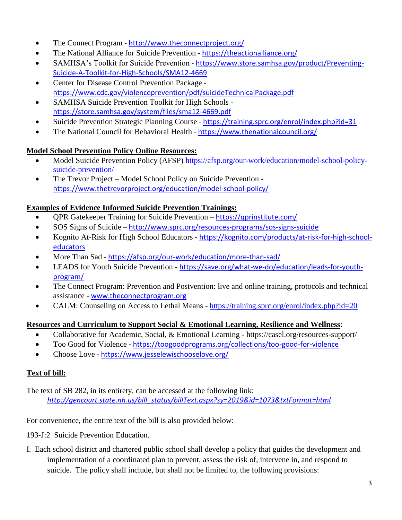- The Connect Program <http://www.theconnectproject.org/>
- The National Alliance for Suicide Prevention **-** <https://theactionalliance.org/>
- SAMHSA's Toolkit for Suicide Prevention [https://www.store.samhsa.gov/product/Preventing-](https://www.store.samhsa.gov/product/Preventing-Suicide-A-Toolkit-for-High-Schools/SMA12-4669)[Suicide-A-Toolkit-for-High-Schools/SMA12-4669](https://www.store.samhsa.gov/product/Preventing-Suicide-A-Toolkit-for-High-Schools/SMA12-4669)
- Center for Disease Control Prevention Package <https://www.cdc.gov/violenceprevention/pdf/suicideTechnicalPackage.pdf>
- SAMHSA Suicide Prevention Toolkit for High Schools <https://store.samhsa.gov/system/files/sma12-4669.pdf>
- Suicide Prevention Strategic Planning Course <https://training.sprc.org/enrol/index.php?id=31>
- The National Council for Behavioral Health <https://www.thenationalcouncil.org/>

### **Model School Prevention Policy Online Resources:**

- Model Suicide Prevention Policy (AFSP) [https://afsp.org/our-work/education/model-school-policy](https://afsp.org/our-work/education/model-school-policy-suicide-prevention/)[suicide-prevention/](https://afsp.org/our-work/education/model-school-policy-suicide-prevention/)
- The Trevor Project Model School Policy on Suicide Prevention <https://www.thetrevorproject.org/education/model-school-policy/>

### **Examples of Evidence Informed Suicide Prevention Trainings:**

- QPR Gatekeeper Training for Suicide Prevention <https://qprinstitute.com/>
- SOS Signs of Suicide <http://www.sprc.org/resources-programs/sos-signs-suicide>
- Kognito At-Risk for High School Educators [https://kognito.com/products/at-risk-for-high-school](https://kognito.com/products/at-risk-for-high-school-educators)[educators](https://kognito.com/products/at-risk-for-high-school-educators)
- More Than Sad <https://afsp.org/our-work/education/more-than-sad/>
- LEADS for Youth Suicide Prevention [https://save.org/what-we-do/education/leads-for-youth](https://save.org/what-we-do/education/leads-for-youth-program/)[program/](https://save.org/what-we-do/education/leads-for-youth-program/)
- The Connect Program: Prevention and Postvention: live and online training, protocols and technical assistance - [www.theconnectprogram.org](http://www.theconnectprogram.org/)
- CALM: Counseling on Access to Lethal Means <https://training.sprc.org/enrol/index.php?id=20>

## **Resources and Curriculum to Support Social & Emotional Learning, Resilience and Wellness**:

- Collaborative for Academic, Social, & Emotional Learning https://casel.org/resources-support/
- Too Good for Violence <https://toogoodprograms.org/collections/too-good-for-violence>
- Choose Love <https://www.jesselewischooselove.org/>

## **Text of bill:**

The text of SB 282, in its entirety, can be accessed at the following link: *[http://gencourt.state.nh.us/bill\\_status/billText.aspx?sy=2019&id=1073&txtFormat=html](http://gencourt.state.nh.us/bill_status/billText.aspx?sy=2019&id=1073&txtFormat=html)*

For convenience, the entire text of the bill is also provided below:

193-J:2 Suicide Prevention Education.

I. Each school district and chartered public school shall develop a policy that guides the development and implementation of a coordinated plan to prevent, assess the risk of, intervene in, and respond to suicide. The policy shall include, but shall not be limited to, the following provisions: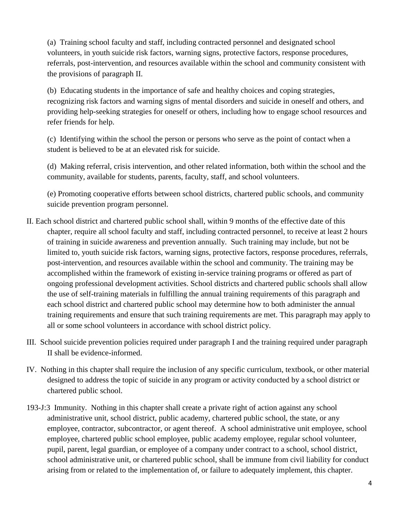(a) Training school faculty and staff, including contracted personnel and designated school volunteers, in youth suicide risk factors, warning signs, protective factors, response procedures, referrals, post-intervention, and resources available within the school and community consistent with the provisions of paragraph II.

(b) Educating students in the importance of safe and healthy choices and coping strategies, recognizing risk factors and warning signs of mental disorders and suicide in oneself and others, and providing help-seeking strategies for oneself or others, including how to engage school resources and refer friends for help.

(c) Identifying within the school the person or persons who serve as the point of contact when a student is believed to be at an elevated risk for suicide.

(d) Making referral, crisis intervention, and other related information, both within the school and the community, available for students, parents, faculty, staff, and school volunteers.

(e) Promoting cooperative efforts between school districts, chartered public schools, and community suicide prevention program personnel.

- II. Each school district and chartered public school shall, within 9 months of the effective date of this chapter, require all school faculty and staff, including contracted personnel, to receive at least 2 hours of training in suicide awareness and prevention annually. Such training may include, but not be limited to, youth suicide risk factors, warning signs, protective factors, response procedures, referrals, post-intervention, and resources available within the school and community. The training may be accomplished within the framework of existing in-service training programs or offered as part of ongoing professional development activities. School districts and chartered public schools shall allow the use of self-training materials in fulfilling the annual training requirements of this paragraph and each school district and chartered public school may determine how to both administer the annual training requirements and ensure that such training requirements are met. This paragraph may apply to all or some school volunteers in accordance with school district policy.
- III. School suicide prevention policies required under paragraph I and the training required under paragraph II shall be evidence-informed.
- IV. Nothing in this chapter shall require the inclusion of any specific curriculum, textbook, or other material designed to address the topic of suicide in any program or activity conducted by a school district or chartered public school.
- 193-J:3 Immunity. Nothing in this chapter shall create a private right of action against any school administrative unit, school district, public academy, chartered public school, the state, or any employee, contractor, subcontractor, or agent thereof. A school administrative unit employee, school employee, chartered public school employee, public academy employee, regular school volunteer, pupil, parent, legal guardian, or employee of a company under contract to a school, school district, school administrative unit, or chartered public school, shall be immune from civil liability for conduct arising from or related to the implementation of, or failure to adequately implement, this chapter.